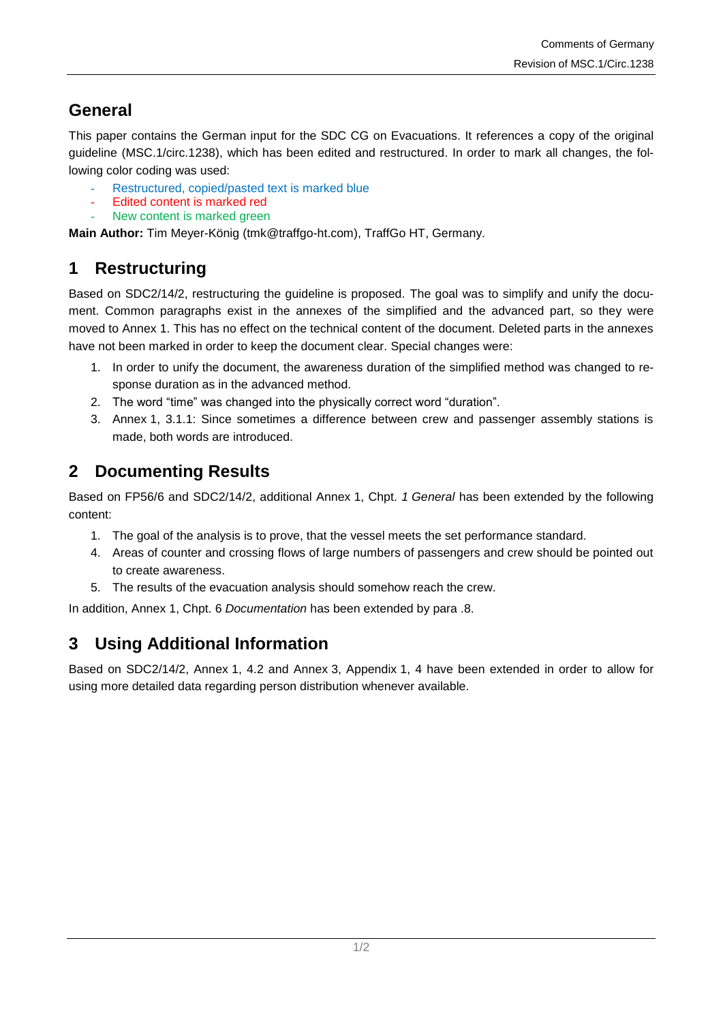## **General**

This paper contains the German input for the SDC CG on Evacuations. It references a copy of the original guideline (MSC.1/circ.1238), which has been edited and restructured. In order to mark all changes, the following color coding was used:

- Restructured, copied/pasted text is marked blue
- Edited content is marked red
- New content is marked green

**Main Author:** Tim Meyer-König (tmk@traffgo-ht.com), TraffGo HT, Germany.

# **1 Restructuring**

Based on SDC2/14/2, restructuring the guideline is proposed. The goal was to simplify and unify the document. Common paragraphs exist in the annexes of the simplified and the advanced part, so they were moved to Annex 1. This has no effect on the technical content of the document. Deleted parts in the annexes have not been marked in order to keep the document clear. Special changes were:

- 1. In order to unify the document, the awareness duration of the simplified method was changed to response duration as in the advanced method.
- 2. The word "time" was changed into the physically correct word "duration".
- 3. Annex 1, 3.1.1: Since sometimes a difference between crew and passenger assembly stations is made, both words are introduced.

### **2 Documenting Results**

Based on FP56/6 and SDC2/14/2, additional Annex 1, Chpt. *1 General* has been extended by the following content:

- 1. The goal of the analysis is to prove, that the vessel meets the set performance standard.
- 4. Areas of counter and crossing flows of large numbers of passengers and crew should be pointed out to create awareness.
- 5. The results of the evacuation analysis should somehow reach the crew.

In addition, Annex 1, Chpt. 6 *Documentation* has been extended by para .8.

## **3 Using Additional Information**

Based on SDC2/14/2, Annex 1, 4.2 and Annex 3, Appendix 1, 4 have been extended in order to allow for using more detailed data regarding person distribution whenever available.